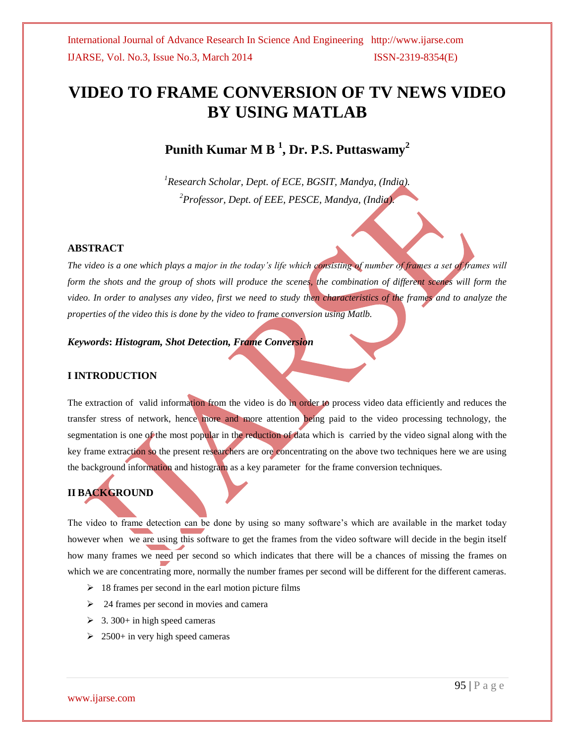# **VIDEO TO FRAME CONVERSION OF TV NEWS VIDEO BY USING MATLAB**

**Punith Kumar M B <sup>1</sup> , Dr. P.S. Puttaswamy<sup>2</sup>**

*<sup>1</sup>Research Scholar, Dept. of ECE, BGSIT, Mandya, (India). <sup>2</sup>Professor, Dept. of EEE, PESCE, Mandya, (India).*

#### **ABSTRACT**

*The video is a one which plays a major in the today's life which consisting of number of frames a set of frames will form the shots and the group of shots will produce the scenes, the combination of different scenes will form the video. In order to analyses any video, first we need to study then characteristics of the frames and to analyze the properties of the video this is done by the video to frame conversion using Matlb.* 

#### *Keywords***:** *Histogram, Shot Detection, Frame Conversion*

### **I INTRODUCTION**

The extraction of valid information from the video is do in order to process video data efficiently and reduces the transfer stress of network, hence more and more attention being paid to the video processing technology, the segmentation is one of the most popular in the reduction of data which is carried by the video signal along with the key frame extraction so the present researchers are ore concentrating on the above two techniques here we are using the background information and histogram as a key parameter for the frame conversion techniques.

# **II BACKGROUND**

The video to frame detection can be done by using so many software's which are available in the market today however when we are using this software to get the frames from the video software will decide in the begin itself how many frames we need per second so which indicates that there will be a chances of missing the frames on which we are concentrating more, normally the number frames per second will be different for the different cameras.

- $\geq 18$  frames per second in the earl motion picture films
- $\geq$  24 frames per second in movies and camera
- $\geq$  3. 300+ in high speed cameras
- $\geq$  2500+ in very high speed cameras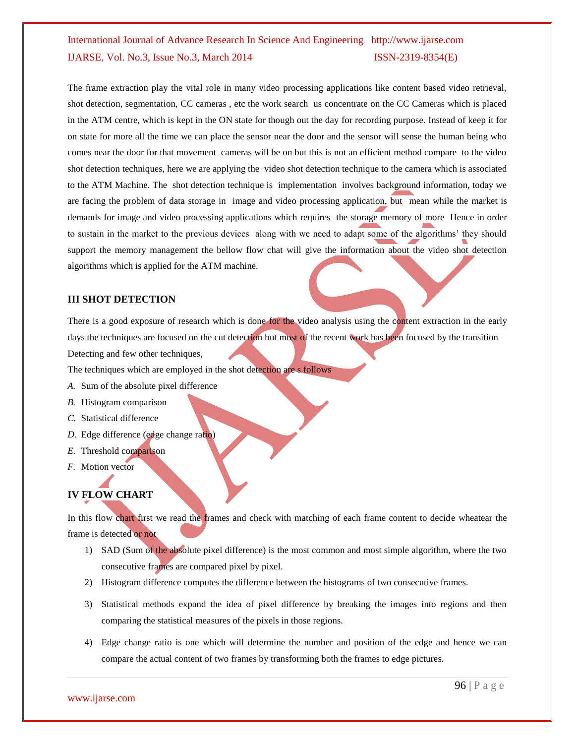The frame extraction play the vital role in many video processing applications like content based video retrieval, shot detection, segmentation, CC cameras , etc the work search us concentrate on the CC Cameras which is placed in the ATM centre, which is kept in the ON state for though out the day for recording purpose. Instead of keep it for on state for more all the time we can place the sensor near the door and the sensor will sense the human being who comes near the door for that movement cameras will be on but this is not an efficient method compare to the video shot detection techniques, here we are applying the video shot detection technique to the camera which is associated to the ATM Machine. The shot detection technique is implementation involves background information, today we are facing the problem of data storage in image and video processing application, but mean while the market is demands for image and video processing applications which requires the storage memory of more Hence in order to sustain in the market to the previous devices along with we need to adapt some of the algorithms' they should support the memory management the bellow flow chat will give the information about the video shot detection algorithms which is applied for the ATM machine.

### **III SHOT DETECTION**

There is a good exposure of research which is done for the video analysis using the content extraction in the early days the techniques are focused on the cut detection but most of the recent work has been focused by the transition Detecting and few other techniques,

The techniques which are employed in the shot detection are s follows

- *A.* Sum of the absolute pixel difference
- *B.* Histogram comparison
- *C.* Statistical difference
- *D.* Edge difference (edge change ratio)
- *E.* Threshold comparison
- *F.* Motion vector

# **IV FLOW CHART**

In this flow chart first we read the frames and check with matching of each frame content to decide wheatear the frame is detected or not

- 1) SAD (Sum of the absolute pixel difference) is the most common and most simple algorithm, where the two consecutive frames are compared pixel by pixel.
- 2) Histogram difference computes the difference between the histograms of two consecutive frames.
- 3) Statistical methods expand the idea of pixel difference by breaking the images into regions and then comparing the statistical measures of the pixels in those regions.
- 4) Edge change ratio is one which will determine the number and position of the edge and hence we can compare the actual content of two frames by transforming both the frames to edge pictures.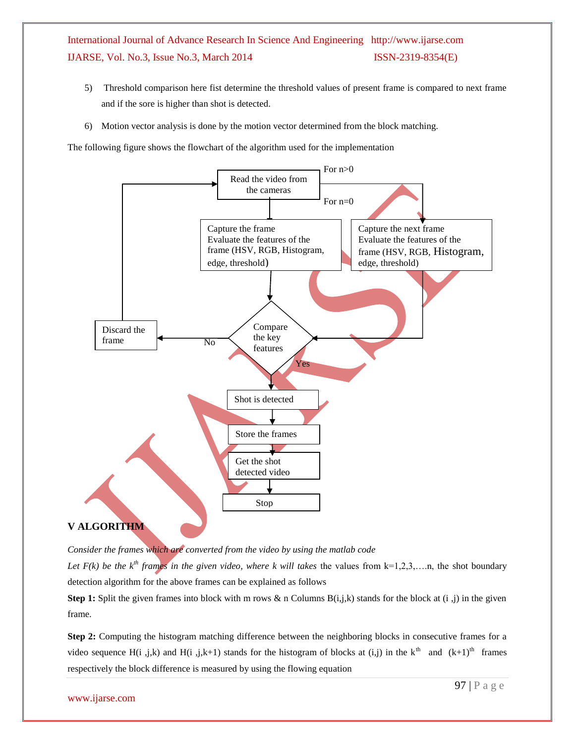- 5) Threshold comparison here fist determine the threshold values of present frame is compared to next frame and if the sore is higher than shot is detected.
- 6) Motion vector analysis is done by the motion vector determined from the block matching.

The following figure shows the flowchart of the algorithm used for the implementation



*Consider the frames which are converted from the video by using the matlab code*

*Let F(k) be the*  $k^{th}$  *frames in the given video, where k will takes the values from*  $k=1,2,3,...n$ *, the shot boundary* detection algorithm for the above frames can be explained as follows

**Step 1:** Split the given frames into block with m rows & n Columns  $B(i,j,k)$  stands for the block at  $(i, j)$  in the given frame.

**Step 2:** Computing the histogram matching difference between the neighboring blocks in consecutive frames for a video sequence H(i, j,k) and H(i, j,k+1) stands for the histogram of blocks at (i,j) in the k<sup>th</sup> and  $(k+1)$ <sup>th</sup> frames respectively the block difference is measured by using the flowing equation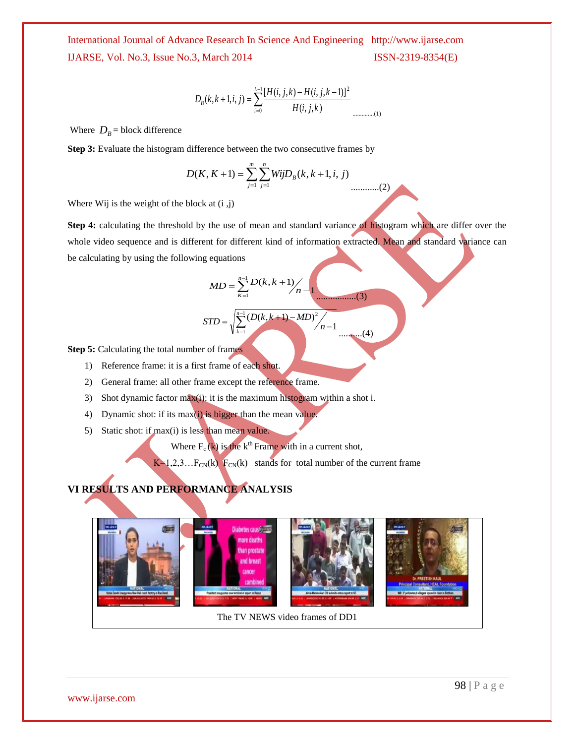$$
D_B(k, k+1, i, j) = \sum_{i=0}^{L-1} \frac{[H(i, j, k) - H(i, j, k-1)]^2}{H(i, j, k)}
$$

Where  $D_B$  = block difference

**Step 3:** Evaluate the histogram difference between the two consecutive frames by

$$
D(K, K+1) = \sum_{j=1}^{m} \sum_{j=1}^{n} WijD_B(k, k+1, i, j)
$$
............

 $(2)$ 

Where Wij is the weight of the block at  $(i, j)$ 

**Step 4:** calculating the threshold by the use of mean and standard variance of histogram which are differ over the whole video sequence and is different for different kind of information extracted. Mean and standard variance can be calculating by using the following equations

$$
MD = \sum_{k=1}^{n-1} \frac{D(k, k+1)}{n-1}
$$
\n
$$
STD = \sqrt{\sum_{k=1}^{n-1} \frac{(D(k, k+1) - MD)^2}{n-1}}
$$
\n(4)

**Step 5:** Calculating the total number of frames

- 1) Reference frame: it is a first frame of each shot.
- 2) General frame: all other frame except the reference frame.
- 3) Shot dynamic factor max(i): it is the maximum histogram within a shot i.
- 4) Dynamic shot: if its max $(i)$  is bigger than the mean value.
- 5) Static shot: if max(i) is less than mean value.

Where  $F_c(k)$  is the k<sup>th</sup> Frame with in a current shot,

 $K=1,2,3...FCN(k)$  F<sub>CN</sub>(k) stands for total number of the current frame

### **VI RESULTS AND PERFORMANCE ANALYSIS**



The TV NEWS video frames of DD1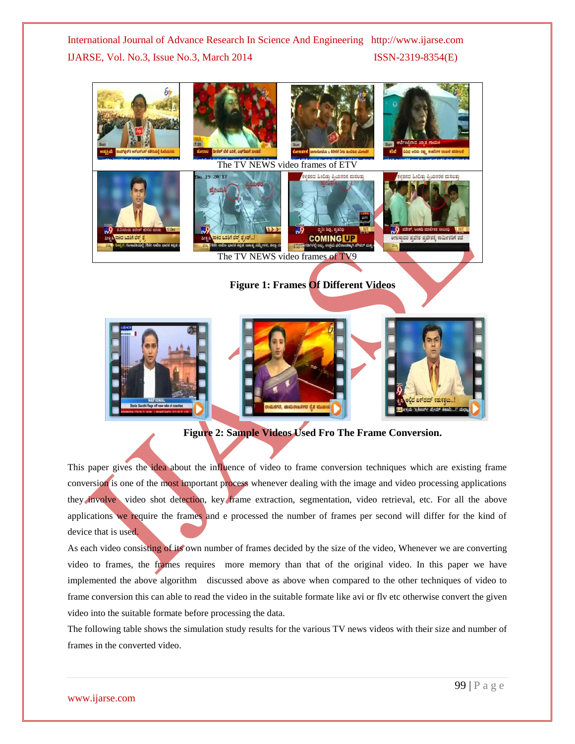

**Figure 2: Sample Videos Used Fro The Frame Conversion.**

This paper gives the idea about the influence of video to frame conversion techniques which are existing frame conversion is one of the most important process whenever dealing with the image and video processing applications they involve video shot detection, key frame extraction, segmentation, video retrieval, etc. For all the above applications we require the frames and e processed the number of frames per second will differ for the kind of device that is used.

As each video consisting of its own number of frames decided by the size of the video, Whenever we are converting video to frames, the frames requires more memory than that of the original video. In this paper we have implemented the above algorithm discussed above as above when compared to the other techniques of video to frame conversion this can able to read the video in the suitable formate like avi or flv etc otherwise convert the given video into the suitable formate before processing the data.

The following table shows the simulation study results for the various TV news videos with their size and number of frames in the converted video.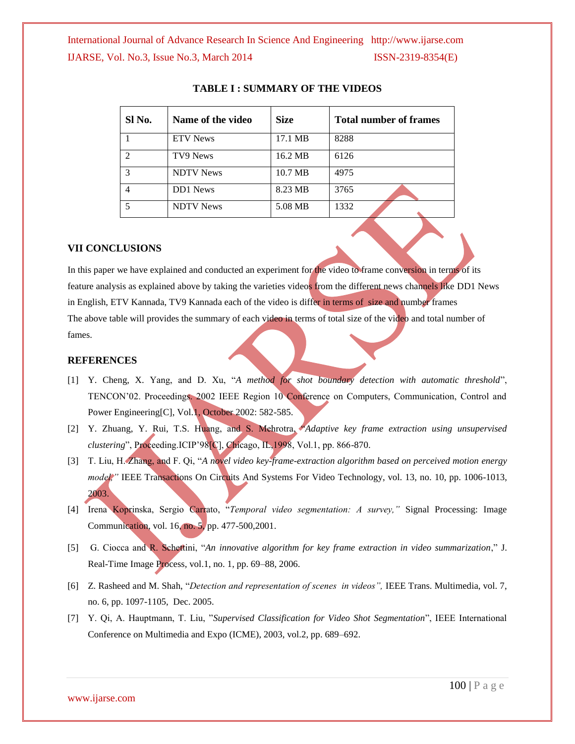| Sl No.        | Name of the video | <b>Size</b> | <b>Total number of frames</b> |
|---------------|-------------------|-------------|-------------------------------|
|               | <b>ETV</b> News   | 17.1 MB     | 8288                          |
| $\mathcal{D}$ | TV9 News          | 16.2 MB     | 6126                          |
| 3             | <b>NDTV</b> News  | 10.7 MB     | 4975                          |
|               | <b>DD1</b> News   | 8.23 MB     | 3765                          |
|               | <b>NDTV</b> News  | 5.08 MB     | 1332                          |

#### **TABLE I : SUMMARY OF THE VIDEOS**

#### **VII CONCLUSIONS**

In this paper we have explained and conducted an experiment for the video to frame conversion in terms of its feature analysis as explained above by taking the varieties videos from the different news channels like DD1 News in English, ETV Kannada, TV9 Kannada each of the video is differ in terms of size and number frames The above table will provides the summary of each video in terms of total size of the video and total number of fames.

#### **REFERENCES**

- [1] Y. Cheng, X. Yang, and D. Xu, "*A method for shot boundary detection with automatic threshold*", TENCON'02. Proceedings. 2002 IEEE Region 10 Conference on Computers, Communication, Control and Power Engineering[C], Vol.1, October 2002: 582-585.
- [2] Y. Zhuang, Y. Rui, T.S. Huang, and S. Mehrotra, "*Adaptive key frame extraction using unsupervised clustering*", Proceeding.ICIP'98[C], Chicago, IL,1998, Vol.1, pp. 866-870.
- [3] T. Liu, H. Zhang, and F. Qi, "*A novel video key-frame-extraction algorithm based on perceived motion energy model*," IEEE Transactions On Circuits And Systems For Video Technology, vol. 13, no. 10, pp. 1006-1013, 2003.
- [4] Irena Koprinska, Sergio Carrato, "*Temporal video segmentation: A survey,"* Signal Processing: Image Communication, vol. 16, no. 5, pp. 477-500,2001.
- [5] G. Ciocca and R. Schettini, "*An innovative algorithm for key frame extraction in video summarization*," J. Real-Time Image Process, vol.1, no. 1, pp. 69–88, 2006.
- [6] Z. Rasheed and M. Shah, "*Detection and representation of scenes in videos",* IEEE Trans. Multimedia, vol. 7, no. 6, pp. 1097-1105, Dec. 2005.
- [7] Y. Qi, A. Hauptmann, T. Liu, "*Supervised Classification for Video Shot Segmentation*", IEEE International Conference on Multimedia and Expo (ICME), 2003, vol.2, pp. 689–692.